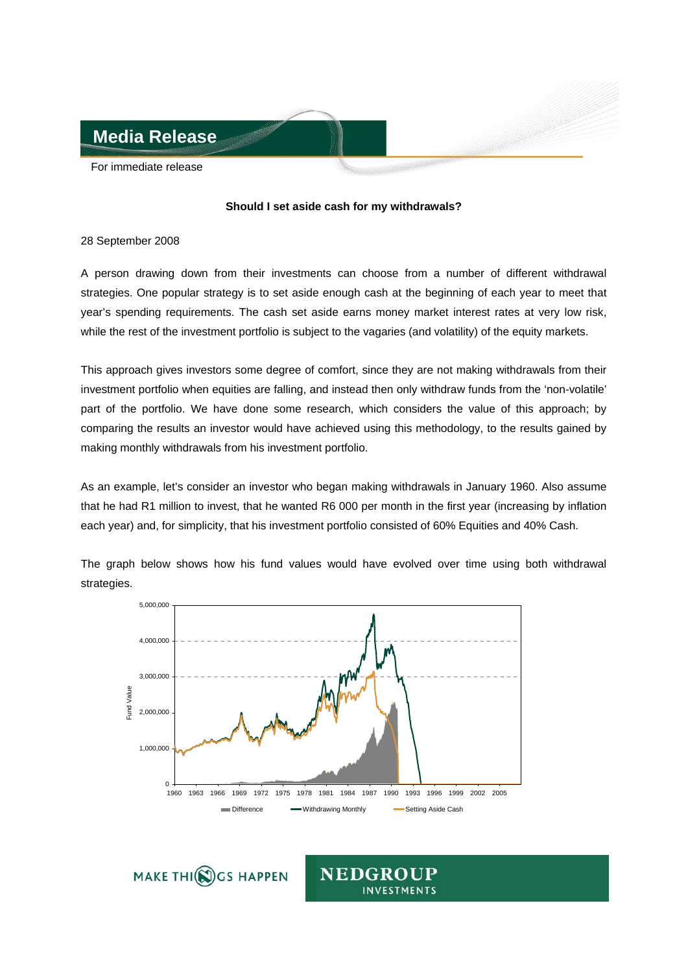

For immediate release

## **Should I set aside cash for my withdrawals?**

## 28 September 2008

A person drawing down from their investments can choose from a number of different withdrawal strategies. One popular strategy is to set aside enough cash at the beginning of each year to meet that year's spending requirements. The cash set aside earns money market interest rates at very low risk, while the rest of the investment portfolio is subject to the vagaries (and volatility) of the equity markets.

This approach gives investors some degree of comfort, since they are not making withdrawals from their investment portfolio when equities are falling, and instead then only withdraw funds from the 'non-volatile' part of the portfolio. We have done some research, which considers the value of this approach; by comparing the results an investor would have achieved using this methodology, to the results gained by making monthly withdrawals from his investment portfolio.

As an example, let's consider an investor who began making withdrawals in January 1960. Also assume that he had R1 million to invest, that he wanted R6 000 per month in the first year (increasing by inflation each year) and, for simplicity, that his investment portfolio consisted of 60% Equities and 40% Cash.

The graph below shows how his fund values would have evolved over time using both withdrawal strategies.



MAKE THI(C) GS HAPPEN

**NEDGROUP INVESTMENTS**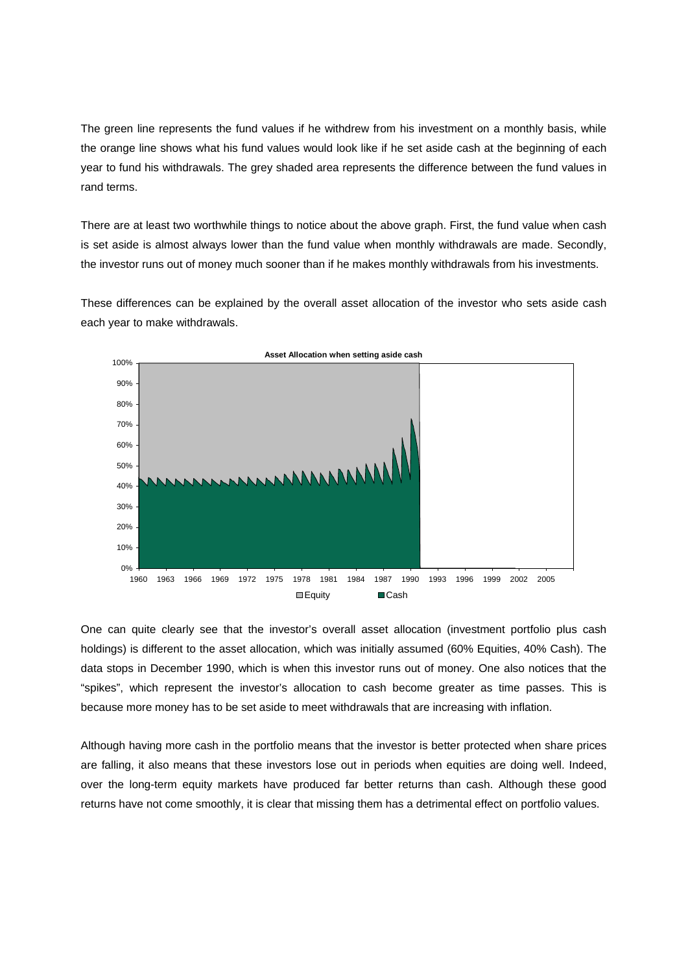The green line represents the fund values if he withdrew from his investment on a monthly basis, while the orange line shows what his fund values would look like if he set aside cash at the beginning of each year to fund his withdrawals. The grey shaded area represents the difference between the fund values in rand terms.

There are at least two worthwhile things to notice about the above graph. First, the fund value when cash is set aside is almost always lower than the fund value when monthly withdrawals are made. Secondly, the investor runs out of money much sooner than if he makes monthly withdrawals from his investments.

These differences can be explained by the overall asset allocation of the investor who sets aside cash each year to make withdrawals.



One can quite clearly see that the investor's overall asset allocation (investment portfolio plus cash holdings) is different to the asset allocation, which was initially assumed (60% Equities, 40% Cash). The data stops in December 1990, which is when this investor runs out of money. One also notices that the "spikes", which represent the investor's allocation to cash become greater as time passes. This is because more money has to be set aside to meet withdrawals that are increasing with inflation.

Although having more cash in the portfolio means that the investor is better protected when share prices are falling, it also means that these investors lose out in periods when equities are doing well. Indeed, over the long-term equity markets have produced far better returns than cash. Although these good returns have not come smoothly, it is clear that missing them has a detrimental effect on portfolio values.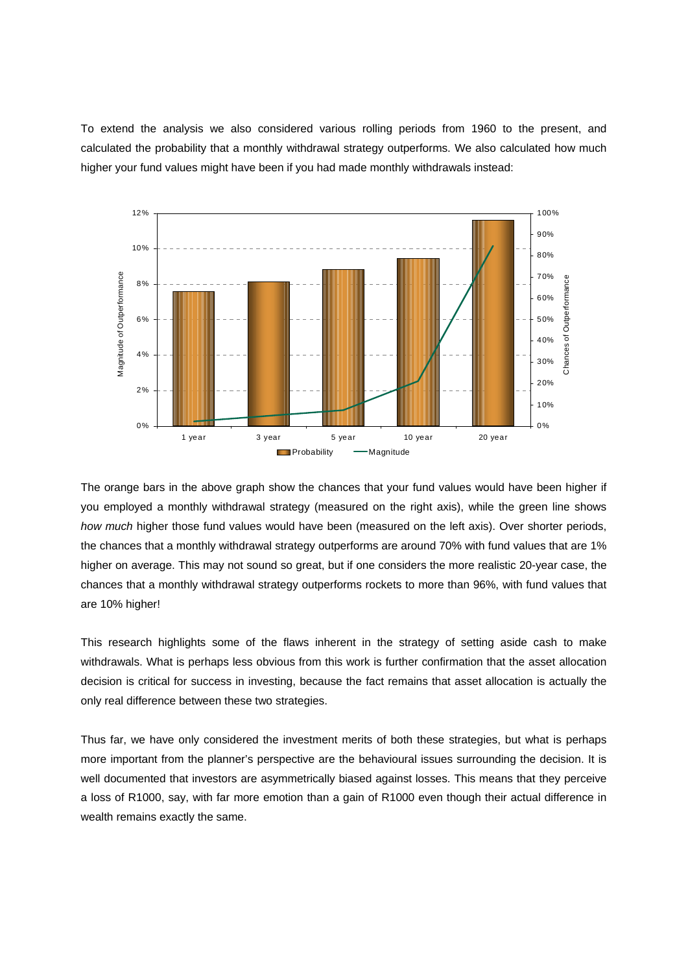To extend the analysis we also considered various rolling periods from 1960 to the present, and calculated the probability that a monthly withdrawal strategy outperforms. We also calculated how much higher your fund values might have been if you had made monthly withdrawals instead:



The orange bars in the above graph show the chances that your fund values would have been higher if you employed a monthly withdrawal strategy (measured on the right axis), while the green line shows *how much* higher those fund values would have been (measured on the left axis). Over shorter periods, the chances that a monthly withdrawal strategy outperforms are around 70% with fund values that are 1% higher on average. This may not sound so great, but if one considers the more realistic 20-year case, the chances that a monthly withdrawal strategy outperforms rockets to more than 96%, with fund values that are 10% higher!

This research highlights some of the flaws inherent in the strategy of setting aside cash to make withdrawals. What is perhaps less obvious from this work is further confirmation that the asset allocation decision is critical for success in investing, because the fact remains that asset allocation is actually the only real difference between these two strategies.

Thus far, we have only considered the investment merits of both these strategies, but what is perhaps more important from the planner's perspective are the behavioural issues surrounding the decision. It is well documented that investors are asymmetrically biased against losses. This means that they perceive a loss of R1000, say, with far more emotion than a gain of R1000 even though their actual difference in wealth remains exactly the same.